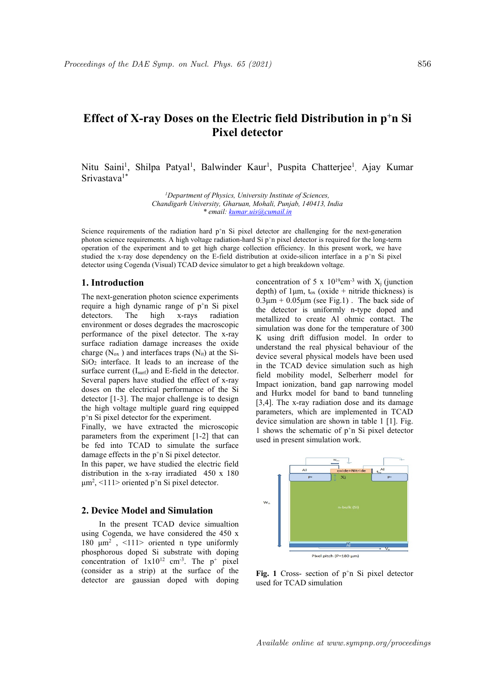# edings of the DAE Symp. on Nucl. Phys. 65 (2021)<br> **Effect of X-ray Doses on the Electric field Distribution in p<sup>+</sup>n Si<br>
Pixel detector<br>
Nitu Saini<sup>1</sup>, Shilpa Patyal<sup>1</sup>, Balwinder Kaur<sup>1</sup>, Puspita Chatterjee<sup>1</sup>, Ajay Kumar** 856<br> **n Si**<br>
Si<br>
Lumar Phys. 65 (2021)<br>
856<br> **the Electric field Distribution in p<sup>+</sup>n Si<br>
Pixel detector**<br>
Iwinder Kaur<sup>1</sup>, Puspita Chatterjee<sup>1</sup>, Ajay Kumar eedings of the DAE Symp. on Nucl. Phys. 65 (2021)<br> **Effect of X-ray Doses on the Electric field Distribution in Fixel detector**<br> **Nitu Saini<sup>1</sup>, Shilpa Patyal<sup>1</sup>, Balwinder Kaur<sup>1</sup>, Puspita Chatterjee<sup>1</sup>, A<br>
Srivastava<sup>1\*</sup>** *EDAE Symp. on Nucl. Phys. 65 (2021)*<br> **X-ray Doses on the Electric field Distribution in p<sup>+</sup>n Si<br>
<b>Pixel detector**<br>
, Shilpa Patyal<sup>1</sup>, Balwinder Kaur<sup>1</sup>, Puspita Chatterjee<sup>1</sup>, Ajay Kumar<br> *Department of Physics, Univer* Nucl. Phys. 65 (2021)<br> **(a)**<br> **(b)**<br> **(b)**<br> **(b)**<br> **(b)**<br> **(b)**<br> **(b)**<br> **(b)**<br> **(b)**<br> **(b)**<br> **(b)**<br> **(b)**<br> **(b)**<br> **(b)**<br> **(b)**<br> **(b)**<br> **(b)**<br> **(b)**<br> **(b)**<br> **(b)**<br> **(b)**<br> **(b)**<br> **(b)**<br> **(b)**<br> **(b)**<br> **(b)**<br> **(b)**<br> **(b)**<br> **(b** 856<br> **c field Distribution in p<sup>+</sup>n Si<br>
tor**<br>
, Puspita Chatterjee<sup>1</sup>, Ajay Kumar<br> *Institute of Sciences*,<br> *ii, Punjab, 140413, India* 856<br> **Simphane Simphane Simple Simple Simple Simple Simple Simple Simple Simple Simple Simple Simple Simple Simple Simple Simple Simple Simple Simple Simple Simple Simple Simple Simple Simple Simple Simple Simple Simple Si** 19. on Nucl. Phys. 65 (2021)<br> **Doses on the Electric field Distribution in p<sup>+</sup>n Si<br>
Pixel detector<br>
Patyal<sup>1</sup>, Balwinder Kaur<sup>1</sup>, Puspita Chatterjee<sup>1</sup>, Ajay Kumar<br>
19. Paparment of Physics, University Institute of Scien**

Srivastava<sup>1\*</sup>

Symp. on Nucl. Phys. 65 (2021)<br> **Ay Doses on the Electric field Distribution in p<sup>+</sup>n Si<br>
Pixel detector<br>
pa Patyal<sup>1</sup>, Balwinder Kaur<sup>1</sup>, Puspita Chatterjee<sup>1</sup>. Ajay Kumar<br>
Upgarment of Physics, University Institute of S** <sup>21</sup>. *Phys.* 65 (2021)<br> **11. Example: Concerned Material: Concerned Material: Concerned Material: Concerned Material: Concerned Material: Concerned Material: Concerned Material: Concerned Material: Conc** Effect of X-ray Doses on the Electric field Distribution in p<sup>+</sup>n Si<br> **Effect of X-ray Doses on the Electric field Distribution in p<sup>+</sup>n Si<br>
Pixel detector<br>
Nitu Saini<sup>1</sup>, Shilpa Patyal<sup>1</sup>, Balwinder Kaur<sup>1</sup>, Puspita Chat** nys. 65 (2021)<br> **S56**<br> **ixel detector**<br> **inder Kaur<sup>1</sup>**, Puspita Chatterjee<sup>1</sup>, Ajay Kumar<br> **inder Kaur<sup>1</sup>**, Puspita Chatterjee<sup>1</sup>, Ajay Kumar<br> *istis. University Institute of Sciences.<br>
<i>Gharuan, Mohali, Punjab, 140415,* pedimaps of the DAE Symp. on Nucl. Phys. 65 (2021) 856<br> **Effect of X-ray Doses on the Electric field Distribution in p<sup>+</sup>n Si<br>
Pixel detector<br>
Nitu Saim<sup>11</sup>, Shilpa Patyal<sup>1</sup>, Balwinder Kaur<sup>1</sup>, Puspita Chatterjee<sup>1</sup>, Aja S56**<br> **in field Distribution in p<sup>+</sup>n Si**<br> **or**<br> **or**<br> **h**, Puspita Chatterjee<sup>1</sup>, Ajay Kumar<br> *Institute of Sciences*.<br> *i, Punjab, 140413, India*<br> *mail.in*<br>
tor are challenging for the next-generation<br>
pixel detector **Effect of X-ray Doses on the Electric field Distribution in p<sup>+</sup>n Si<br>
<b>Effect of X-ray Doses on the Electric field Distribution in p<sup>+</sup>n Si<br>
Pixel detector<br>
Nitu Saim<sup>11</sup>, Shilpa Patyal<sup>1</sup>, Balwinder Kaur<sup>1</sup>, Puspita Cha** stellings of the *DAE* Symp. on Nucl. Phys. 65 (2021) 856<br> **Effect of X-ray Doses on the Electric field Distribution in p+n Si**<br> **Pixel detector**<br>
Nitu Saimi<sup>1</sup>, Shilpa Patyal<sup>1</sup>, Balwinder Kaur<sup>1</sup>, Puspita Chatterjee<sup>1</sup>. edimgs of the DAE Symp. on Nucl. Phays. 65 (2021) 856<br> **Effect of X-ray Doses on the Electric field Distribution in p<sup>+</sup>n Si<br>
Pixel detector<br>
Nitu Saimi<sup>1</sup>, Shilpa Patyal<sup>1</sup>, Balwinder Kaur<sup>1</sup>, Puspita Chatterjee<sup>1</sup>, Ajay Effect of X-ray Doses on the Electric field Distribution**<br> **Pixel detector**<br>
Nitu Saimi<sup>1</sup>, Shilpa Patyal<sup>1</sup>, Balwinder Kaur<sup>1</sup>, Puspita Chatterjee<sup>1</sup><br>
Sirivastava<sup>1</sup><sup>\*</sup><br> *Department of Physics, University Institute of S* **Effect of X-ray Doses on the Electric field Distribution in p<sup>+</sup>n Si<br>
Pixel detector<br>
Pixel detector<br>
Nitu Saim<sup>11</sup>, Shilpa Patyal<sup>1</sup>, Balwinder Kaur<sup>1</sup>, Puspita Chatterjee<sup>1</sup>. Ajay Kumar<br>
Sirvastava<sup>1\*</sup><br>** *Chandigarh Uni* 

 $p^{\dagger}$ n Si pixel detector for the experiment. performance of the pixel detector. The x-ray independent of the surface and the change increases the oxide<br>surface radiation damage increases the oxide<br>device several physical nodes<br>charge (N<sub>ox</sub>) and interfaces traps (N<sub></sub>

 $\mu$ m<sup>2</sup>, <111> oriented p<sup>+</sup>n Si pixel detector.

concentration of  $1x10^{12}$  cm<sup>-3</sup>. The  $p^+$  pixel

**n p<sup>+</sup>n Si**<br>
ay Kumar<br>
ay Kumar<br>
long-term<br>
, we have<br>
n Si pixel<br>  $X_j$  (junction<br>
thickness) is<br>
back side of<br>
doned and **Effect of X-ray Doses on the Electric field Distribution in p<sup>+</sup>n Si<br>
Pixel detector<br>
Nitu Saini<sup>1</sup>, Shilpa Patyal<sup>1</sup>, Balwinder Kaur<sup>1</sup>, Puspita Chatterjee<sup>1</sup>. Ajay Kumar<br>
Sivastava<sup>1\*</sup><br>** *Chantagan University, Ghanan, M* **n the Electric field Distribution in p<sup>+</sup>n Si<br>
Pixel detector<br>
Pixel detector<br>
Balwinder Kaur<sup>1</sup>, Puspita Chatterjee<sup>1</sup>, Ajay Kumar<br>
of** *Physics, University Institute of Sciences,***<br>** *ersity, Gharuan, Mohal, Punjab, 14041* **Effect of X-ray Doses on the Electric field Distribution in p<sup>+</sup>n Si<br><b>Pixel detector**<br>**Strivaling Patyal**, Ballywinder Kaur<sup>1</sup>, Puspita Chatterjee<sup>1</sup>. Ajay Kumar<br>
Strivastava<sup>1</sup><br> *Chandigarh University, Gharian, Mohali,* **Effect of X-ray Doses on the Electric field Distribution in p<sup>+</sup>n Si<br>
Pixel detector<br>
Nitu Saini<sup>1</sup>, Shilpa Patyal<sup>1</sup>, Balwinder Kaur<sup>1</sup>, Puspita Chatterjee<sup>1</sup>. Ajay Kumar<br>
Srivastava<sup>1</sup><br>** *Papartment of Physics, Universi* **Pixel detector**<br> **Pixel detector**<br>
Stivustava<sup>11</sup>, Shilpa Patyal<sup>1</sup>, Balwinder Kaur<sup>1</sup>, Puspita Chatterjee<sup>1</sup>, Ajay Kumar<br>
Stivustava<sup>17</sup><br>
Changement of Physics, University Institute of Sciences.<br>
Changement University ( **SUPREM 1881 1999**<br> **SUPREM 1881** TIME INTERFERIGNER SUPREM SUPREM SUPREM SUPREMENT SUPREM SUPREM THE SUPREM Change of *Propartment of Physics, University Institute of Sciences*.<br>
Chandgearly *Chandgearl University Columb* Nitu Saimi<sup>1</sup>, Shilpa Patyal<sup>1</sup>, Balwinder Kaur<sup>1</sup>, Puspita Chatterjee<sup>1</sup>, Ajay Kumar<br>
Siriwastava<sup>1</sup><br> *Chaparment of Physics, University Institute of Sciences,<br>
<i>Chandigarh University Cohenan, Mobali, Punjab. 149413. Ind* Nitu Saini<sup>1</sup>, Shilpa Patyal<sup>1</sup>, Balwinder Kaur<sup>1</sup>, Puspita Chatterjee<sup>1</sup>. Ajay Kumar<br>
Srivastava<sup>12</sup><br> *Chandigan' Chineratio, Chineratio Intitute of Sciences.*<br> *Chandigan' Chineratio, Chineration and p*<sup>1</sup> is pixel Sini Saini<sup>1</sup>, Shilpa Patyal<sup>1</sup>, Balwinder Kaur<sup>1</sup>, Puspita Chatterjee<sup>1</sup>, Ajay Kumar<br>
Srivustava<sup>18</sup><br>
Chamatgarh University Schment, Mehali, Punguh, 140413, India<br>
Chamatgarh University Ghaman, Mohali, Punguh, 140413, In Strivastava<sup>1\*</sup><br>
Strivastava<sup>1\*</sup><br>
Department of Physics. University Institute of Science,<br>
Chandigarh University Institute of Science,<br>
Chandigarh University Observation From Explaints (Secure the effect of the extension<br> **Department of Physics**. University Institute of Sciences,<br>
Chandigark University, (interime, Mohal, Pupila, 140413, India<br>
Science requirements of the radiation hard p'n Si pixel detector are challenging for the net-tgen The matrix of *Physics Chrossics Christonic (Christonic Sciences Chandgarh University, Gharnan, Mohali, Phyrids, <i>Hotils*, *hala*<br>
Science requirements of the radiation bard p'n Si pixel detector are challenging for t Chandigarh University, Grantal,  $H_{\text{H}}$  and  $\mu$   $\mu$  and  $\mu$  and  $\mu$  and  $\mu$  and  $\mu$  and  $\mu$  and  $\mu$  and  $\mu$  and  $\mu$  and  $\mu$  and  $\mu$  and  $\mu$  and  $\mu$  and  $\mu$  and  $\mu$  and  $\mu$  and  $\mu$  and  $\mu$  and  $\mu$  and <sup>e</sup> *email: kamar utisficamati in*<br>
ience requirements of the radiation hard p'n Si pixel detector are challenging for the next-generation<br>
coon science requirements. A high volume radiation hard Si pri pixel detector is Science requirements of the natiation hard p'n Si pixel detector are challenging for the next-generation polynom science equirements. A high voltage relation-hard Si p'n pixel detector, is routed for the long-term<br>potenti Science requirements of the radiation hard p n Si pixel detector are challenging for the next-generation<br>spheron science requirements. A high voltage redistion-hard Si p'n pixel detector is required for the sequenties of photon science equivariants. A high voltage miliation-hard Si pre pixel detector is required by the surface of the surface operator of the surface operator of the surface operator is the surface detector using Cogenal (Vi operation of the experiment and to get high charge collection efficiency. In this present work, we have<br>statical different and to get high charge collection effects in the F-field distribution at oxide-stince in a p<sup>-n</sup> S and to get high charge collection efficiency. In this present work, we have bendency on the E-field distribution at oxide-silicon interface in a p<sup>-n</sup> Si pixel<br>isual) TCAD device simulator to get a high breakdown voltage. studied the s-ray doos dependency on the Fi-field sistribution is totile-slitten interfering in the studie of the studie studies of the mext-generation photon science experiments of 5 x 10<sup>9</sup>cm<sup>3</sup> with X<sub>5</sub> (junction fiel detector using Cagnodia (Visual) 1CAD device simulator to get a high breakdown voltage.<br>
1. Introduction<br>
1. The next-generation photon science experiments of the state of the state of require a high dynamic range of p'n **ntroduction**<br>
next-generation photon science experiments<br>  $\frac{1}{2}$  orientation of 5 x 10<sup>10</sup>cm<sup>-3</sup> with X<sub>i</sub> (iunction<br>
next-generation photon science experiments<br>  $\frac{1}{2}$  orientation ( $\frac{1}{2}$  orientation) ( $\frac{1}{2}$ concentration of 5 x 10<sup>9</sup>em<sup>3</sup> with X<sub>j</sub> (junction<br>
depth) of 1µm, t<sub>os</sub> (oxiet + nitride thickness) is<br>
depth x-rays radiation<br>
detector is uniformly n-type doped and<br>
the detector is uniformly n-type doped and<br>
depende require a high dynamic range of p <sup>2</sup>n Si pixel<br>
detectors. The longing reapsor p <sup>2</sup>n Si pixel<br>
detectors is uniformly n-type doped and<br>
environment or dose degrades the macroscopic simulation was done for the temperatur Ions. In the map X-rays radiation metallized to create Al chimic contact The Newton's contact The Newton's contact The Newton's contact The Newton's contact The Newton's contact The Newton's contact The Newton's interface **tric field Distribution in p<sup>+</sup>n Si**<br> **cector**<br> **aur'**, Puspita Chatterjee<sup>1</sup>, Ajay Kumar<br> *stifularity Institute of Sciences,<br>
<i>ofohali, Punjab, 140413, India*<br> *delector* are challenging for the next-generation<br>  $\frac{\partial \$ **tric field Distribution in p<sup>+</sup>n Si**<br> **ector**<br>
aur<sup>1</sup>, Puspita Chatterjee<sup>1</sup>, Ajay Kumar<br> *Abhali, Punjab, 140413, India*<br>
<u>*G@cumail.in*</u><br>
detector are challenging for the next-generation<br>
detector are challenging for t **tric field Distribution in p<sup>+</sup>n Si**<br> **ecctor**<br>
state of Sciences,<br>
state of Sciences,<br> *cholali, Punjab, 140413, India*<br>
<u>detector</u> are challenging for the next-generation<br>
Significary. In this present work, we have<br>
st **tric field Distribution in p<sup>+</sup>n Si<br>
rector**<br> **Ecctor**<br> **Ecctor**<br> **Ecctor**<br> **Ecctor**<br> **Ecctor**<br> **Ecctor**<br> **Ecctor**<br> **Ecctor**<br> **Ecctor**<br> **Ecctor**<br> **Ecctor**<br> **Ecctor**<br> **Ecctor**<br> **Ecctor**<br> **Ecctor**<br> **Ecctor**<br> **Ecctor**<br> **Ecc tric field Distribution in p<sup>+</sup>n Si<br>
ector**<br>
aur<sup>1</sup>, Puspita Chatterjee<sup>1</sup>, Ajay Kumar<br>
atohil, Punjab, 140413, India<br>
<u>doction</u> are challenging for the next-generation<br>
<u>solonition</u>, In this present work, we have<br>
signi **Example 11:** Purstribution **III p II S1**<br> **Ector**<br> **Example 12:** Puspita Chatterjee<sup>1</sup>, Ajay Kumar<br> *Sigmanl.in*<br> *Mohali, Punjab, 140413, India*<br> *Commal.in*<br> *Commal.in*<br> *Commal.in*<br> *Commal.in*<br> *Commal.in*<br> *C* **ECTOT**<br> **ECTOR**<br> **ECTOR**<br> **ECTOR**<br> **ECTOR**<br> **ECTOR**<br> **ECTOR**<br> **ECTOR**<br> **ECTOR**<br> **ECTOR**<br> **ECTOR**<br> **ECTOR**<br> **ECTOR**<br> **ECTOR**<br> **ECTOR**<br> **ECTOR**<br> **ECTOR**<br> **ECTOR**<br> **ECTOR**<br> **ECTOR**<br> **ECTOR**<br> **ECTOR**<br> **ECTOR**<br> **ECTOR**<br> **ECTO** aur<sup>1</sup>, Puspita Chatterjee<sup>1</sup>, Ajay Kumar<br>rsity Institute of Sciences.<br>*Colomic, Punjob*, 140413, India<br>detector are challenging for the next-generation<br>Si p'n pixel detector is required for the long-term<br>cention efficien aur<sup>1</sup>, Puspita Chatterjee<sup>1</sup>, Ajay Kumar<br>right *Institute of Sciences*,<br>*Aohali, Punjab, 140413, India*<br>*G@cumail.in*<br>detector are challenging for the next-generation<br>exist in pixel detector is required for the long-term aur<sup>1</sup>, Puspita Chatterjee<sup>1</sup>, Ajay Kumar<br>rity Institute of Sciences.<br>dohali, Punjab, 140413, India<br>detector are challenging for the next-generation<br>Si p'n pixel detector is required for the long-term<br>cition efficiency. I **Example 12** (Alter Science C<sub>1</sub>, Alter Alter Sciences, statistical model, *https*, *latial* detector are challenging for the next-generation Si p'n pixel detector is required for the long-term sion Si p'n pixel detector rsity Institute of Sciences,<br> *Abhali, Punjab, 140413, India*<br>  $\frac{G_0}{G_0}$  and  $\frac{1}{G_1}$  in pixel detector is required for the long-term<br>
Si p'n pixel detector is required for the long-term<br>
extinon efficiency. In thi prival *Institute of Sciences*.<br> *Abhali, Punjab, 140413, India*<br>
<u>scolvamail.in</u><br>
<u>detector</u> are challenging for the next-generation<br>
Si p'n pixel detector is required for the long-term<br>
civion efficiency. In this presen stip Institute of Sciences,<br>Adohali, Punjab, 140413, India<br>Solemmali.in<br>Solemmali.in<br>detector are challenging for the next-generation<br>Si p'n pixel detector is required for the long-term<br>exition of ficiency. In this presen *donali, punido, 140413, India*<br> *sofocurinali.in*<br> *sofocurinali.in*<br>
sofocurinalizing for the next-generation<br>
sofocurinalizing for the intersect of the long-term<br>
extion efficiency. In this present work, we have<br>
term Succumali.m<br>
Succumali.m<br>
detector are challenging for the next-generation<br>
Si p'n pixel detector is required for the long-term<br>
strin efficiency. In this present work, we have<br>
train at oxide-silicon interface in a p'n S detector are challenging for the next-generation<br>Si p'n pixel detector is required for the long-term<br>tion of ficiency. In this present work, we have<br>tion of ficiency. In this present work, we have<br>get a high breakdown vol e next-generation<br>for the long-term<br>t work, we have<br>in a p<sup>+</sup>n Si pixel<br> $^{-3}$  with X<sub>j</sub> (junction<br>intride thickness) is<br>. The back side of<br>n-type doped and<br>minic contact. The<br>temperature of 300<br>odel. In order to<br>els have detector are challenging for the next-generation<br>Si p'n prixel detector is required for the long-term<br>ction efficiency. In this present work, we have<br>get a high breakdown violtage.<br>get a high breakdown voltage.<br>expectenta